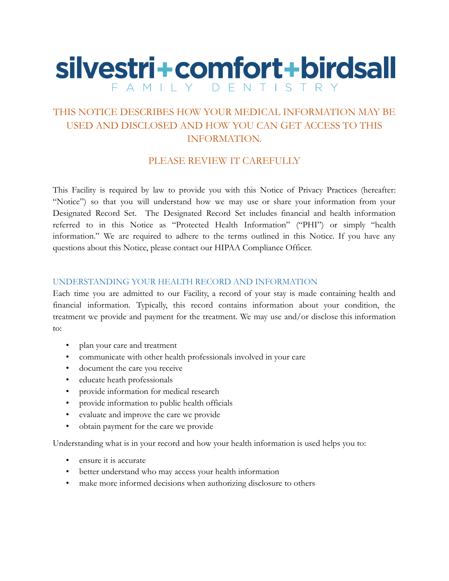# silvestri+comfort+birdsall FAMILY DENTISTRY

## THIS NOTICE DESCRIBES HOW YOUR MEDICAL INFORMATION MAY BE USED AND DISCLOSED AND HOW YOU CAN GET ACCESS TO THIS INFORMATION.

## PLEASE REVIEW IT CAREFULLY

This Facility is required by law to provide you with this Notice of Privacy Practices (hereafter: "Notice") so that you will understand how we may use or share your information from your Designated Record Set. The Designated Record Set includes financial and health information referred to in this Notice as "Protected Health Information" ("PHI") or simply "health information." We are required to adhere to the terms outlined in this Notice. If you have any questions about this Notice, please contact our HIPAA Compliance Officer.

### UNDERSTANDING YOUR HEALTH RECORD AND INFORMATION

Each time you are admitted to our Facility, a record of your stay is made containing health and financial information. Typically, this record contains information about your condition, the treatment we provide and payment for the treatment. We may use and/or disclose this information to:

- plan your care and treatment
- communicate with other health professionals involved in your care
- document the care you receive
- educate heath professionals
- provide information for medical research
- provide information to public health officials
- evaluate and improve the care we provide
- obtain payment for the care we provide

Understanding what is in your record and how your health information is used helps you to:

- ensure it is accurate
- better understand who may access your health information
- make more informed decisions when authorizing disclosure to others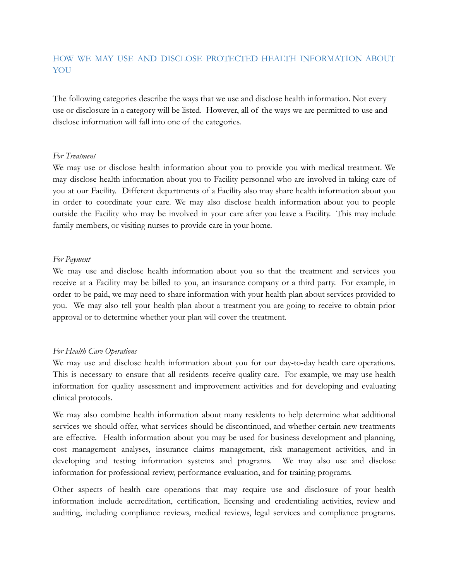## HOW WE MAY USE AND DISCLOSE PROTECTED HEALTH INFORMATION ABOUT YOU

The following categories describe the ways that we use and disclose health information. Not every use or disclosure in a category will be listed. However, all of the ways we are permitted to use and disclose information will fall into one of the categories.

#### *For Treatment*

We may use or disclose health information about you to provide you with medical treatment. We may disclose health information about you to Facility personnel who are involved in taking care of you at our Facility. Different departments of a Facility also may share health information about you in order to coordinate your care. We may also disclose health information about you to people outside the Facility who may be involved in your care after you leave a Facility. This may include family members, or visiting nurses to provide care in your home.

#### *For Payment*

We may use and disclose health information about you so that the treatment and services you receive at a Facility may be billed to you, an insurance company or a third party. For example, in order to be paid, we may need to share information with your health plan about services provided to you. We may also tell your health plan about a treatment you are going to receive to obtain prior approval or to determine whether your plan will cover the treatment.

### *For Health Care Operations*

We may use and disclose health information about you for our day-to-day health care operations. This is necessary to ensure that all residents receive quality care. For example, we may use health information for quality assessment and improvement activities and for developing and evaluating clinical protocols.

We may also combine health information about many residents to help determine what additional services we should offer, what services should be discontinued, and whether certain new treatments are effective. Health information about you may be used for business development and planning, cost management analyses, insurance claims management, risk management activities, and in developing and testing information systems and programs. We may also use and disclose information for professional review, performance evaluation, and for training programs.

Other aspects of health care operations that may require use and disclosure of your health information include accreditation, certification, licensing and credentialing activities, review and auditing, including compliance reviews, medical reviews, legal services and compliance programs.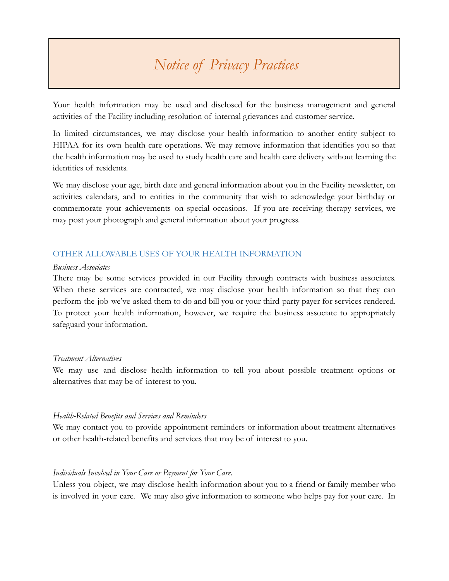Your health information may be used and disclosed for the business management and general activities of the Facility including resolution of internal grievances and customer service.

In limited circumstances, we may disclose your health information to another entity subject to HIPAA for its own health care operations. We may remove information that identifies you so that the health information may be used to study health care and health care delivery without learning the identities of residents.

We may disclose your age, birth date and general information about you in the Facility newsletter, on activities calendars, and to entities in the community that wish to acknowledge your birthday or commemorate your achievements on special occasions. If you are receiving therapy services, we may post your photograph and general information about your progress.

#### OTHER ALLOWABLE USES OF YOUR HEALTH INFORMATION

#### *Business Associates*

There may be some services provided in our Facility through contracts with business associates. When these services are contracted, we may disclose your health information so that they can perform the job we've asked them to do and bill you or your third-party payer for services rendered. To protect your health information, however, we require the business associate to appropriately safeguard your information.

#### *Treatment Alternatives*

We may use and disclose health information to tell you about possible treatment options or alternatives that may be of interest to you.

#### *Health-Related Benefits and Services and Reminders*

We may contact you to provide appointment reminders or information about treatment alternatives or other health-related benefits and services that may be of interest to you.

#### *Individuals Involved in Your Care or Payment for Your Care.*

Unless you object, we may disclose health information about you to a friend or family member who is involved in your care. We may also give information to someone who helps pay for your care. In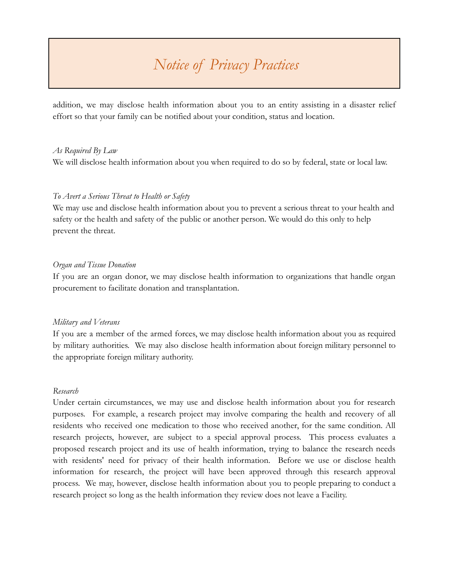addition, we may disclose health information about you to an entity assisting in a disaster relief effort so that your family can be notified about your condition, status and location.

#### *As Required By Law*

We will disclose health information about you when required to do so by federal, state or local law.

#### *To Avert a Serious Threat to Health or Safety*

We may use and disclose health information about you to prevent a serious threat to your health and safety or the health and safety of the public or another person. We would do this only to help prevent the threat.

#### *Organ and Tissue Donation*

If you are an organ donor, we may disclose health information to organizations that handle organ procurement to facilitate donation and transplantation.

#### *Military and Veterans*

If you are a member of the armed forces, we may disclose health information about you as required by military authorities. We may also disclose health information about foreign military personnel to the appropriate foreign military authority.

#### *Research*

Under certain circumstances, we may use and disclose health information about you for research purposes. For example, a research project may involve comparing the health and recovery of all residents who received one medication to those who received another, for the same condition. All research projects, however, are subject to a special approval process. This process evaluates a proposed research project and its use of health information, trying to balance the research needs with residents' need for privacy of their health information. Before we use or disclose health information for research, the project will have been approved through this research approval process. We may, however, disclose health information about you to people preparing to conduct a research project so long as the health information they review does not leave a Facility.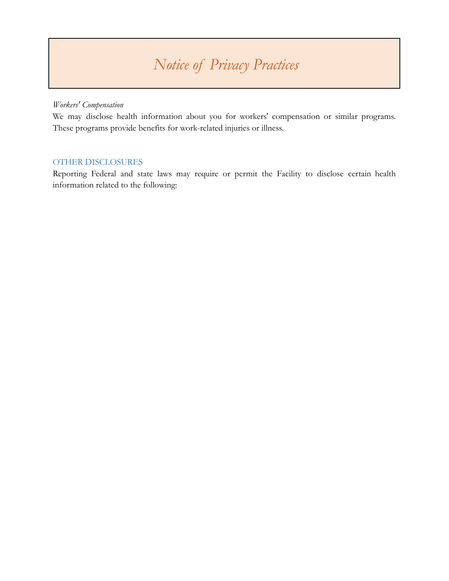### *Workers' Compensation*

We may disclose health information about you for workers' compensation or similar programs. These programs provide benefits for work-related injuries or illness.

### OTHER DISCLOSURES

Reporting Federal and state laws may require or permit the Facility to disclose certain health information related to the following: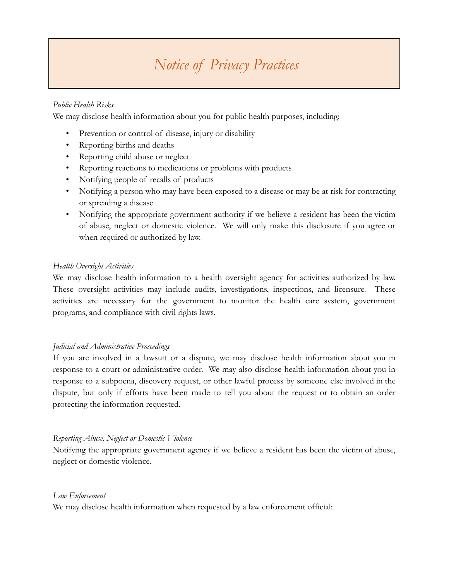### *Public Health Risks*

We may disclose health information about you for public health purposes, including:

- Prevention or control of disease, injury or disability
- Reporting births and deaths
- Reporting child abuse or neglect
- Reporting reactions to medications or problems with products
- Notifying people of recalls of products
- Notifying a person who may have been exposed to a disease or may be at risk for contracting or spreading a disease
- Notifying the appropriate government authority if we believe a resident has been the victim of abuse, neglect or domestic violence. We will only make this disclosure if you agree or when required or authorized by law.

### *Health Oversight Activities*

We may disclose health information to a health oversight agency for activities authorized by law. These oversight activities may include audits, investigations, inspections, and licensure. These activities are necessary for the government to monitor the health care system, government programs, and compliance with civil rights laws.

### *Judicial and Administrative Proceedings*

If you are involved in a lawsuit or a dispute, we may disclose health information about you in response to a court or administrative order. We may also disclose health information about you in response to a subpoena, discovery request, or other lawful process by someone else involved in the dispute, but only if efforts have been made to tell you about the request or to obtain an order protecting the information requested.

### *Reporting Abuse, Neglect or Domestic Violence*

Notifying the appropriate government agency if we believe a resident has been the victim of abuse, neglect or domestic violence.

#### *Law Enforcement*

We may disclose health information when requested by a law enforcement official: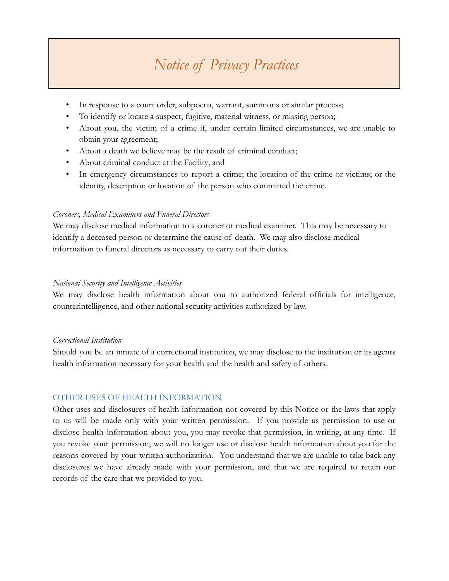- In response to a court order, subpoena, warrant, summons or similar process;
- To identify or locate a suspect, fugitive, material witness, or missing person;
- About you, the victim of a crime if, under certain limited circumstances, we are unable to obtain your agreement;
- About a death we believe may be the result of criminal conduct;
- About criminal conduct at the Facility; and
- In emergency circumstances to report a crime; the location of the crime or victims; or the identity, description or location of the person who committed the crime.

#### *Coroners, Medical Examiners and Funeral Directors*

We may disclose medical information to a coroner or medical examiner. This may be necessary to identify a deceased person or determine the cause of death. We may also disclose medical information to funeral directors as necessary to carry out their duties.

#### *National Security and Intelligence Activities*

We may disclose health information about you to authorized federal officials for intelligence, counterintelligence, and other national security activities authorized by law.

#### *Correctional Institution*

Should you be an inmate of a correctional institution, we may disclose to the institution or its agents health information necessary for your health and the health and safety of others.

### OTHER USES OF HEALTH INFORMATION

Other uses and disclosures of health information not covered by this Notice or the laws that apply to us will be made only with your written permission. If you provide us permission to use or disclose health information about you, you may revoke that permission, in writing, at any time. If you revoke your permission, we will no longer use or disclose health information about you for the reasons covered by your written authorization. You understand that we are unable to take back any disclosures we have already made with your permission, and that we are required to retain our records of the care that we provided to you.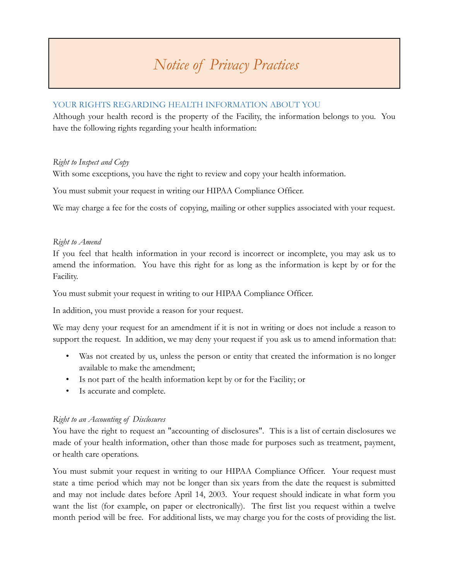### YOUR RIGHTS REGARDING HEALTH INFORMATION ABOUT YOU

Although your health record is the property of the Facility, the information belongs to you. You have the following rights regarding your health information:

### *Right to Inspect and Copy*

With some exceptions, you have the right to review and copy your health information.

You must submit your request in writing our HIPAA Compliance Officer.

We may charge a fee for the costs of copying, mailing or other supplies associated with your request.

### *Right to Amend*

If you feel that health information in your record is incorrect or incomplete, you may ask us to amend the information. You have this right for as long as the information is kept by or for the Facility.

You must submit your request in writing to our HIPAA Compliance Officer.

In addition, you must provide a reason for your request.

We may deny your request for an amendment if it is not in writing or does not include a reason to support the request. In addition, we may deny your request if you ask us to amend information that:

- Was not created by us, unless the person or entity that created the information is no longer available to make the amendment;
- Is not part of the health information kept by or for the Facility; or
- Is accurate and complete.

### *Right to an Accounting of Disclosures*

You have the right to request an "accounting of disclosures". This is a list of certain disclosures we made of your health information, other than those made for purposes such as treatment, payment, or health care operations.

You must submit your request in writing to our HIPAA Compliance Officer. Your request must state a time period which may not be longer than six years from the date the request is submitted and may not include dates before April 14, 2003. Your request should indicate in what form you want the list (for example, on paper or electronically). The first list you request within a twelve month period will be free. For additional lists, we may charge you for the costs of providing the list.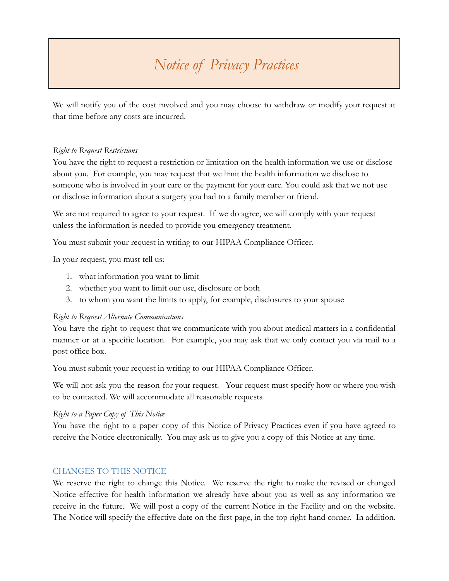We will notify you of the cost involved and you may choose to withdraw or modify your request at that time before any costs are incurred.

#### *Right to Request Restrictions*

You have the right to request a restriction or limitation on the health information we use or disclose about you. For example, you may request that we limit the health information we disclose to someone who is involved in your care or the payment for your care. You could ask that we not use or disclose information about a surgery you had to a family member or friend.

We are not required to agree to your request. If we do agree, we will comply with your request unless the information is needed to provide you emergency treatment.

You must submit your request in writing to our HIPAA Compliance Officer.

In your request, you must tell us:

- 1. what information you want to limit
- 2. whether you want to limit our use, disclosure or both
- 3. to whom you want the limits to apply, for example, disclosures to your spouse

### *Right to Request Alternate Communications*

You have the right to request that we communicate with you about medical matters in a confidential manner or at a specific location. For example, you may ask that we only contact you via mail to a post office box.

You must submit your request in writing to our HIPAA Compliance Officer.

We will not ask you the reason for your request. Your request must specify how or where you wish to be contacted. We will accommodate all reasonable requests.

### *Right to a Paper Copy of This Notice*

You have the right to a paper copy of this Notice of Privacy Practices even if you have agreed to receive the Notice electronically. You may ask us to give you a copy of this Notice at any time.

### CHANGES TO THIS NOTICE

We reserve the right to change this Notice. We reserve the right to make the revised or changed Notice effective for health information we already have about you as well as any information we receive in the future. We will post a copy of the current Notice in the Facility and on the website. The Notice will specify the effective date on the first page, in the top right-hand corner. In addition,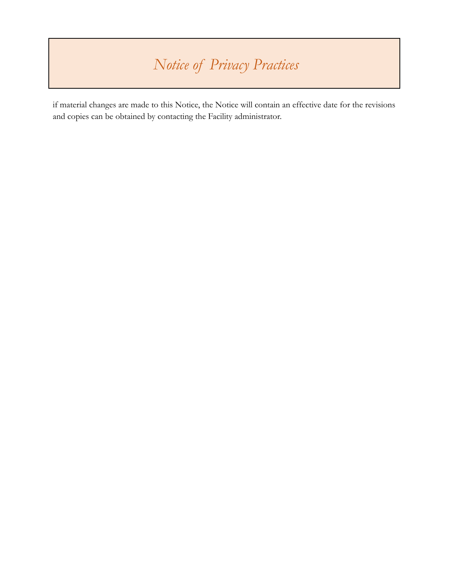if material changes are made to this Notice, the Notice will contain an effective date for the revisions and copies can be obtained by contacting the Facility administrator.